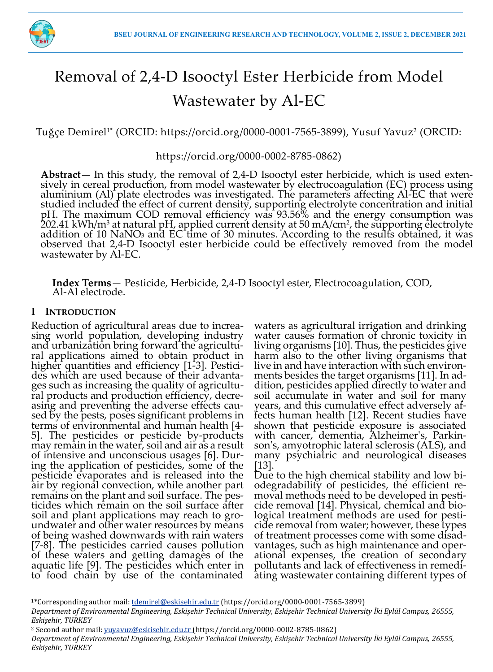

# Removal of 2,4-D Isooctyl Ester Herbicide from Model Wastewater by Al-EC

Tuğçe Demirel1\* (ORCID: https://orcid.org/0000-0001-7565-3899), Yusuf Yavuz<sup>2</sup> (ORCID:

https://orcid.org/0000-0002-8785-0862)

**Abstract**— In this study, the removal of 2,4-D Isooctyl ester herbicide, which is used extensively in cereal production, from model wastewater by electrocoagulation (EC) process using aluminium (Al) plate electrodes was investigated. The parameters affecting Al-EC that were studied included the effect of current density, supporting electrolyte concentration and initial pH. The maximum COD removal efficiency was 93.56% and the energy consumption was  $202.41$  kWh/m $^3$  at natural pH, applied current density at 50 mA/cm $^2$ , the supporting electrolyte addition of 10 NaNO<sub>3</sub> and EC time of 30 minutes. According to the results obtained, it was observed that 2,4-D Isooctyl ester herbicide could be effectively removed from the model wastewater by Al-EC.

**Index Terms**— Pesticide, Herbicide, 2,4-D Isooctyl ester, Electrocoagulation, COD, Al-Al electrode.

# **I INTRODUCTION**

Reduction of agricultural areas due to increasing world population, developing industry and urbanization bring forward the agricultural applications aimed to obtain product in higher quantities and efficiency [1-3]. Pesticides which are used because of their advantages such as increasing the quality of agricultural products and production efficiency, decreasing and preventing the adverse effects caused by the pests, poses significant problems in terms of environmental and human health [4- 5]. The pesticides or pesticide by-products may remain in the water, soil and air as a result of intensive and unconscious usages [6]. During the application of pesticides, some of the pesticide evaporates and is released into the air by regional convection, while another part remains on the plant and soil surface. The pesticides which remain on the soil surface after soil and plant applications may reach to groundwater and other water resources by means of being washed downwards with rain waters [7-8]. The pesticides carried causes pollution of these waters and getting damages of the aquatic life [9]. The pesticides which enter in to food chain by use of the contaminated

waters as agricultural irrigation and drinking water causes formation of chronic toxicity in living organisms [10]. Thus, the pesticides give harm also to the other living organisms that live in and have interaction with such environments besides the target organisms [11]. In addition, pesticides applied directly to water and soil accumulate in water and soil for many years, and this cumulative effect adversely affects human health [12]. Recent studies have shown that pesticide exposure is associated with cancer, dementia, Alzheimer's, Parkinson's, amyotrophic lateral sclerosis (ALS), and many psychiatric and neurological diseases [13].

Due to the high chemical stability and low biodegradability of pesticides, the efficient removal methods need to be developed in pesticide removal [14]. Physical, chemical and biological treatment methods are used for pesticide removal from water; however, these types of treatment processes come with some disadvantages, such as high maintenance and operational expenses, the creation of secondary pollutants and lack of effectiveness in remediating wastewater containing different types of

<sup>&</sup>lt;sup>1\*</sup>Corresponding author mail: *tdemirel@eskisehir.edu.tr* (https://orcid.org/0000-0001-7565-3899)

*Department of Environmental Engineering, Eskişehir Technical University, Eskişehir Technical University İki Eylül Campus, 26555, Eskişehir, TURKEY*

<sup>2</sup> Second author mail: yuyavuz@eskisehir.edu.tr (https://orcid.org/0000-0002-8785-0862)

*Department of Environmental Engineering, Eskişehir Technical University, Eskişehir Technical University İki Eylül Campus, 26555, Eskişehir, TURKEY*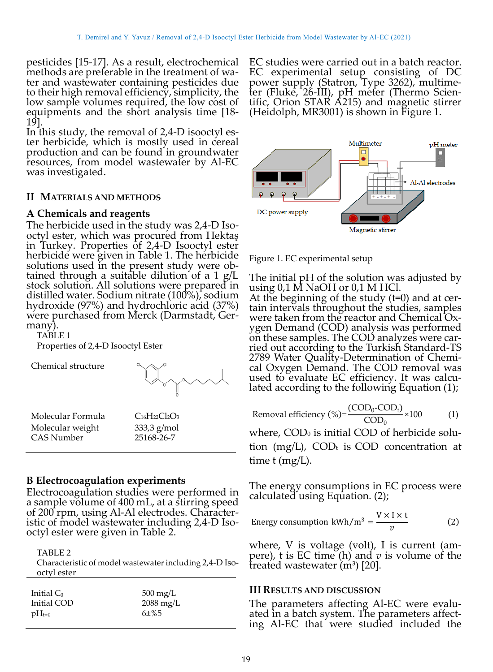pesticides [15-17]. As a result, electrochemical methods are preferable in the treatment of water and wastewater containing pesticides due to their high removal efficiency, simplicity, the low sample volumes required, the low cost of equipments and the short analysis time [18- 19].

In this study, the removal of 2,4-D isooctyl ester herbicide, which is mostly used in cereal production and can be found in groundwater resources, from model wastewater by Al-EC was investigated.

## **II MATERIALS AND METHODS**

#### **A Chemicals and reagents**

The herbicide used in the study was 2,4-D Isooctyl ester, which was procured from Hektaş in Turkey. Properties of 2,4-D Isooctyl ester herbicide were given in Table 1. The herbicide solutions used in the present study were obtained through a suitable dilution of a  $1 \text{ g/L}$ stock solution. All solutions were prepared in distilled water. Sodium nitrate (100%), sodium hydroxide (97%) and hydrochloric acid (37%) were purchased from Merck (Darmstadt, Germany)

TABLE 1

Properties of 2,4-D Isooctyl Ester



## **B Electrocoagulation experiments**

Electrocoagulation studies were performed in a sample volume of 400 mL, at a stirring speed of 200 rpm, using Al-Al electrodes. Characteristic of model wastewater including 2,4-D Isooctyl ester were given in Table 2.

#### TABLE 2

Characteristic of model wastewater including 2,4-D Isooctyl ester

| Initial $C_0$ | $500 \text{ mg/L}$  |
|---------------|---------------------|
| Initial COD   | $2088 \text{ mg/L}$ |
| $pH_{t=0}$    | 6±%5                |

EC studies were carried out in a batch reactor. EC experimental setup consisting of DC power supply (Statron, Type 3262), multimeter (Fluke, 26-III), pH meter (Thermo Scientific, Orion STAR A215) and magnetic stirrer (Heidolph, MR3001) is shown in Figure 1.



Figure 1. EC experimental setup

The initial pH of the solution was adjusted by using 0,1 M NaOH or 0,1 M HCl.

At the beginning of the study (t=0) and at certain intervals throughout the studies, samples were taken from the reactor and Chemical Oxygen Demand (COD) analysis was performed on these samples. The COD analyzes were carried out according to the Turkish Standard-TS 2789 Water Quality-Determination of Chemical Oxygen Demand. The COD removal was used to evaluate EC efficiency. It was calculated according to the following Equation (1);

Removal efficiency (%) = 
$$
\frac{(\text{COD}_0\text{-COD}_t)}{\text{COD}_0} \times 100
$$
 (1)

where, COD<sub>0</sub> is initial COD of herbicide solution (mg/L), COD $_t$  is COD concentration at time t (mg/L).

The energy consumptions in EC process were calculated using Equation. (2);

Energy consumption kWh/m<sup>3</sup> = 
$$
\frac{V \times I \times t}{v}
$$
 (2)

where, V is voltage (volt), I is current (ampere), t is EC time (h) and *v* is volume of the  $\frac{1}{2}$  treated wastewater (m<sup>3</sup>) [20].

#### **III RESULTS AND DISCUSSION**

The parameters affecting Al-EC were evaluated in a batch system. The parameters affecting Al-EC that were studied included the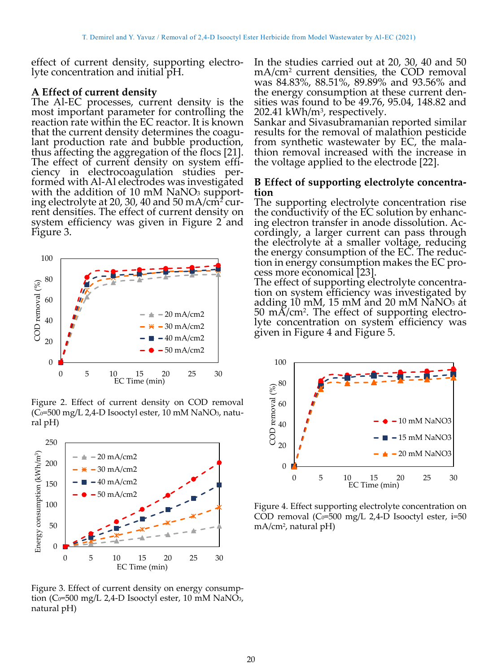effect of current density, supporting electrolyte concentration and initial pH.

## **A Effect of current density**

The Al-EC processes, current density is the most important parameter for controlling the reaction rate within the EC reactor. It is known that the current density determines the coagulant production rate and bubble production, thus affecting the aggregation of the flocs [21]. The effect of current density on system efficiency in electrocoagulation studies performed with Al-Al electrodes was investigated with the addition of 10 mM  $NaNO<sub>3</sub>$  supporting electrolyte at 20, 30, 40 and 50 mA/cm<sup>2</sup> current densities. The effect of current density on system efficiency was given in Figure 2 and Figure 3.



Figure 2. Effect of current density on COD removal (C<sub>0</sub>=500 mg/L 2,4-D Isooctyl ester, 10 mM NaNO<sub>3</sub>, natural pH)



Figure 3. Effect of current density on energy consumption (C $0$ =500 mg/L 2,4-D Isooctyl ester, 10 mM NaNO<sub>3</sub>, natural pH)

In the studies carried out at 20, 30, 40 and 50 mA/cm<sup>2</sup> current densities, the COD removal was 84.83%, 88.51%, 89.89% and 93.56% and the energy consumption at these current densities was found to be 49.76, 95.04, 148.82 and 202.41 kWh/m<sup>3</sup>, respectively.

Sankar and Sivasubramanian reported similar results for the removal of malathion pesticide from synthetic wastewater by EC, the malathion removal increased with the increase in the voltage applied to the electrode [22].

# **B Effect of supporting electrolyte concentration**

The supporting electrolyte concentration rise the conductivity of the EC solution by enhancing electron transfer in anode dissolution. Accordingly, a larger current can pass through the electrolyte at a smaller voltage, reducing the energy consumption of the EC. The reduction in energy consumption makes the EC process more economical [23].

The effect of supporting electrolyte concentration on system efficiency was investigated by adding 10 mM, 15 mM and 20 mM NaNO<sub>3</sub> at 50 mA/cm<sup>2</sup> . The effect of supporting electrolyte concentration on system efficiency was given in Figure 4 and Figure 5.



Figure 4. Effect supporting electrolyte concentration on COD removal ( $Co=500$  mg/L 2,4-D Isooctyl ester, i=50 mA/cm<sup>2</sup> , natural pH)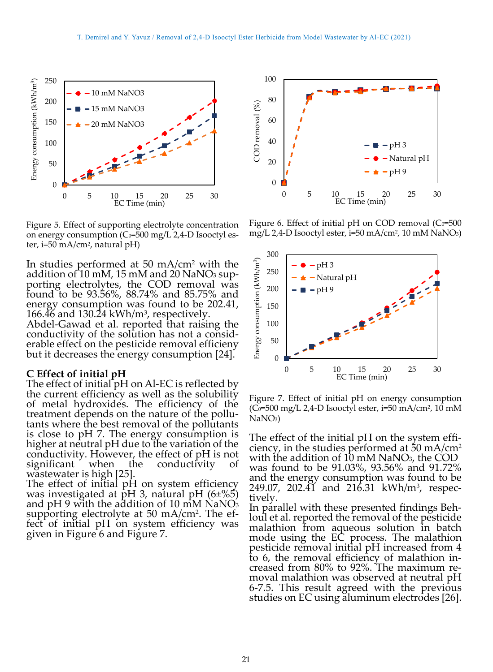

Figure 5. Effect of supporting electrolyte concentration on energy consumption  $(C_0=500 \text{ mg/L } 2.4$ -D Isooctyl ester, i=50 mA/cm<sup>2</sup> , natural pH)

In studies performed at 50 mA/cm<sup>2</sup> with the addition of 10 mM, 15 mM and 20 NaNO<sub>3</sub> supporting electrolytes, the COD removal was found to be 93.56%, 88.74% and 85.75% and energy consumption was found to be 202.41,  $166.46$  and  $130.24$  kWh/m<sup>3</sup>, respectively.

Abdel-Gawad et al. reported that raising the conductivity of the solution has not a considerable effect on the pesticide removal efficieny but it decreases the energy consumption [24].

#### **C Effect of initial pH**

The effect of initial pH on Al-EC is reflected by the current efficiency as well as the solubility of metal hydroxides. The efficiency of the treatment depends on the nature of the pollutants where the best removal of the pollutants is close to pH 7. The energy consumption is higher at neutral pH due to the variation of the conductivity. However, the effect of pH is not significant when the conductivity of wastewater is high [25].

The effect of initial pH on system efficiency was investigated at pH 3, natural pH (6±%5) and  $pH$  9 with the addition of 10 mM NaNO<sub>3</sub> supporting electrolyte at 50 mA/cm<sup>2</sup> . The effect of initial pH on system efficiency was given in Figure 6 and Figure 7.



Figure 6. Effect of initial pH on COD removal  $(C_0=500)$ mg/L 2,4-D Isooctyl ester, i=50 mA/cm<sup>2</sup> , 10 mM NaNO3)



Figure 7. Effect of initial pH on energy consumption (C0=500 mg/L 2,4-D Isooctyl ester, i=50 mA/cm², 10 mM NaNO3)

The effect of the initial pH on the system efficiency, in the studies performed at  $50 \text{ mA/cm}^2$ with the addition of 10 mM NaNO<sub>3</sub>, the COD was found to be 91.03%, 93.56% and 91.72% and the energy consumption was found to be 249.07, 202.41 and 216.31 kWh/m<sup>3</sup>, respectively.

In parallel with these presented findings Behloul et al. reported the removal of the pesticide malathion from aqueous solution in batch mode using the EC process. The malathion pesticide removal initial pH increased from 4 to 6, the removal efficiency of malathion increased from 80% to 92%. The maximum removal malathion was observed at neutral pH 6-7.5. This result agreed with the previous studies on EC using aluminum electrodes [26].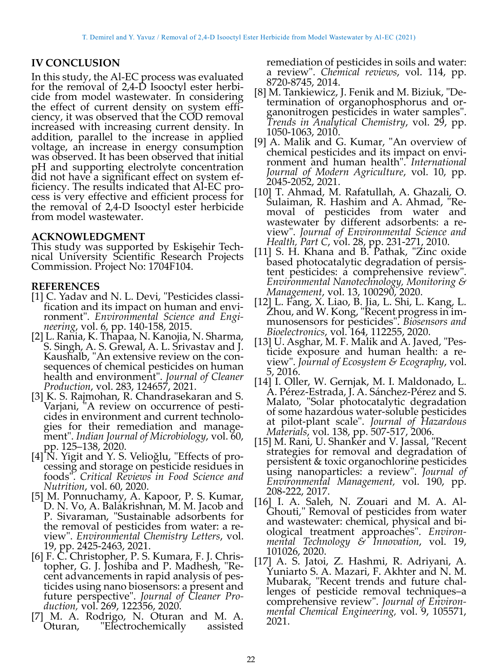# **IV CONCLUSION**

In this study, the Al-EC process was evaluated for the removal of 2,4-D Isooctyl ester herbicide from model wastewater. In considering the effect of current density on system efficiency, it was observed that the COD removal increased with increasing current density. In addition, parallel to the increase in applied voltage, an increase in energy consumption was observed. It has been observed that initial pH and supporting electrolyte concentration did not have a significant effect on system efficiency. The results indicated that Al-EC process is very effective and efficient process for the removal of 2,4-D Isooctyl ester herbicide from model wastewater.

## **ACKNOWLEDGMENT**

This study was supported by Eskişehir Technical University Scientific Research Projects Commission. Project No: 1704F104.

# **REFERENCES**

- [1] C. Yadav and N. L. Devi, "Pesticides classification and its impact on human and environment". *Environmental Science and Engineering*, vol. 6, pp. 140-158, 2015.
- [2] L. Rania, K. Thapaa, N. Kanojia, N. Sharma, S. Singh, A. S. Grewal, A. L. Srivastav and J. Kaushalb, "An extensive review on the consequences of chemical pesticides on human health and environment". *Journal of Cleaner Production*, vol. 283, 124657, 2021.
- [3] K. S. Rajmohan, R. Chandrasekaran and S. Varjani, "A review on occurrence of pesticides in environment and current technologies for their remediation and management". *Indian Journal of Microbiology*, vol. 60, pp. 125–138, 2020.
- [4] N. Yigit and Y. S. Velioğlu, "Effects of processing and storage on pesticide residues in foods". *Critical Reviews in Food Science and Nutrition*, vol. 60, 2020.
- [5] M. Ponnuchamy, A. Kapoor, P. S. Kumar, D. N. Vo, A. Balakrishnan, M. M. Jacob and P. Sivaraman, "Sustainable adsorbents for the removal of pesticides from water: a review". *Environmental Chemistry Letters*, vol. 19, pp. 2425-2463, 2021.
- [6] F. C. Christopher, P. S. Kumara, F. J. Christopher, G. J. Joshiba and P. Madhesh, "Recent advancements in rapid analysis of pesticides using nano biosensors: a present and future perspective". *Journal of Cleaner Production,* vol. 269, 122356, 2020.
- [7] M. A. Rodrigo, N. Oturan and M. A. Oturan, "Electrochemically assisted

remediation of pesticides in soils and water: a review". *Chemical reviews*, vol. 114, pp. 8720-8745, 2014.

- [8] M. Tankiewicz, J. Fenik and M. Biziuk, "Determination of organophosphorus and organonitrogen pesticides in water samples". *Trends in Analytical Chemistry*, vol. 29, pp. 1050-1063, 2010.
- [9] A. Malik and G. Kumar, "An overview of chemical pesticides and its impact on environment and human health". *International Journal of Modern Agriculture*, vol. 10, pp. 2045-2052, 2021.
- [10] T. Ahmad, M. Rafatullah, A. Ghazali, O. Sulaiman, R. Hashim and A. Ahmad, "Removal of pesticides from water and wastewater by different adsorbents: a review". *Journal of Environmental Science and Health, Part C*, vol. 28, pp. 231-271, 2010.
- [11] S. H. Khana and B. Pathak, "Zinc oxide based photocatalytic degradation of persistent pesticides: a comprehensive review". *Environmental Nanotechnology, Monitoring & Management*, vol. 13, 100290, 2020.
- [12] L. Fang, X. Liao, B. Jia, L. Shi, L. Kang, L. Zhou, and W. Kong, "Recent progress in immunosensors for pesticides". *Biosensors and Bioelectronics*, vol. 164, 112255, 2020.
- [13] U. Asghar, M. F. Malik and A. Javed, "Pesticide exposure and human health: a review". *Journal of Ecosystem & Ecography*, vol. 5, 2016.
- [14] I. Oller, W. Gernjak, M. I. Maldonado, L. A. Pérez-Estrada, J. A. Sánchez-Pérez and S. Malato, "Solar photocatalytic degradation of some hazardous water-soluble pesticides at pilot-plant scale". *Journal of Hazardous Materials*, vol. 138, pp. 507-517, 2006.
- [15] M. Rani, U. Shanker and V. Jassal, "Recent strategies for removal and degradation of persistent & toxic organochlorine pesticides using nanoparticles: a review". *Journal of Environmental Management,* vol. 190, pp. 208-222, 2017.
- [16] I. A. Saleh, N. Zouari and M. A. Al-Ghouti," Removal of pesticides from water and wastewater: chemical, physical and biological treatment approaches". *Environmental Technology & Innovation*, vol. 19, 101026, 2020.
- [17] A. S. Jatoi, Z. Hashmi, R. Adriyani, A. Yuniarto S. A. Mazari, F. Akhter and N. M. Mubarak, "Recent trends and future challenges of pesticide removal techniques–a comprehensive review". *Journal of Environmental Chemical Engineering,* vol. 9, 105571, 2021.